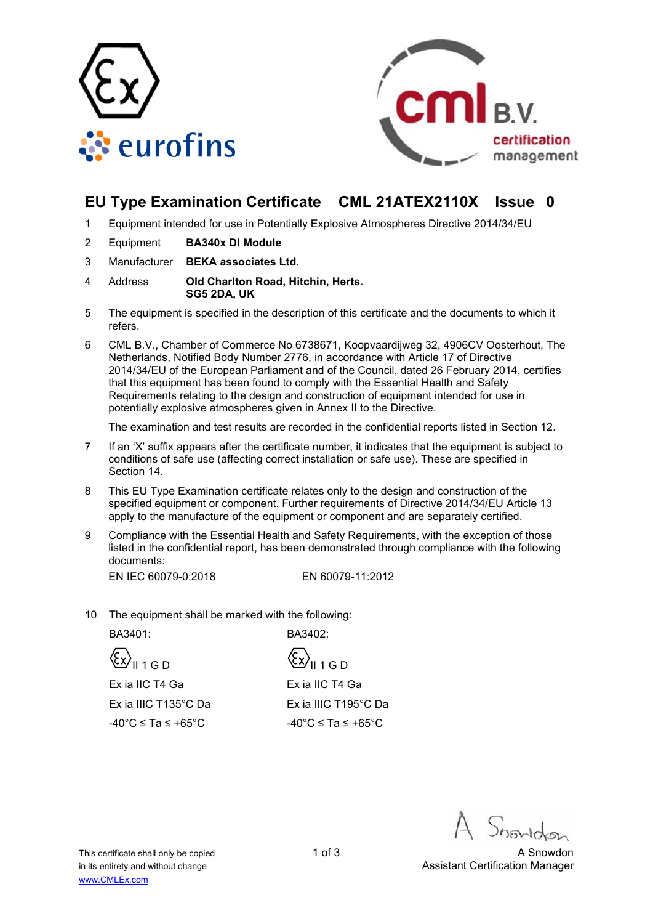



## **EU Type Examination Certificate CML 21ATEX2110X Issue 0**

- 1 Equipment intended for use in Potentially Explosive Atmospheres Directive 2014/34/EU
- 2 Equipment **BA340x DI Module**
- 3 Manufacturer **BEKA associates Ltd.**
- 4 Address **Old Charlton Road, Hitchin, Herts. SG5 2DA, UK**
- 5 The equipment is specified in the description of this certificate and the documents to which it refers.
- 6 CML B.V., Chamber of Commerce No 6738671, Koopvaardijweg 32, 4906CV Oosterhout, The Netherlands, Notified Body Number 2776, in accordance with Article 17 of Directive 2014/34/EU of the European Parliament and of the Council, dated 26 February 2014, certifies that this equipment has been found to comply with the Essential Health and Safety Requirements relating to the design and construction of equipment intended for use in potentially explosive atmospheres given in Annex II to the Directive.

The examination and test results are recorded in the confidential reports listed in Section 12.

- 7 If an 'X' suffix appears after the certificate number, it indicates that the equipment is subject to conditions of safe use (affecting correct installation or safe use). These are specified in Section 14.
- 8 This EU Type Examination certificate relates only to the design and construction of the specified equipment or component. Further requirements of Directive 2014/34/EU Article 13 apply to the manufacture of the equipment or component and are separately certified.
- 9 Compliance with the Essential Health and Safety Requirements, with the exception of those listed in the confidential report, has been demonstrated through compliance with the following documents:

EN IEC 60079-0:2018 EN 60079-11:2012

10 The equipment shall be marked with the following:

BA3401: BA3402:

 $\langle \xi \chi \rangle_{\parallel 1 \cap D}$   $\langle \xi \chi \rangle_{\parallel 1 \cap D}$ 

 Ex ia IIC T4 Ga Ex ia IIIC T135°C Da

Ex ia IIC T4 Ga Ex ia IIIC T195°C Da  $-40^{\circ}$ C ≤ Ta ≤ +65°C -40°C ≤ Ta ≤ +65°C

This certificate shall only be copied 1 of 3 A Snowdon 1 of 3 in its entirety and without change Assistant Certification Manager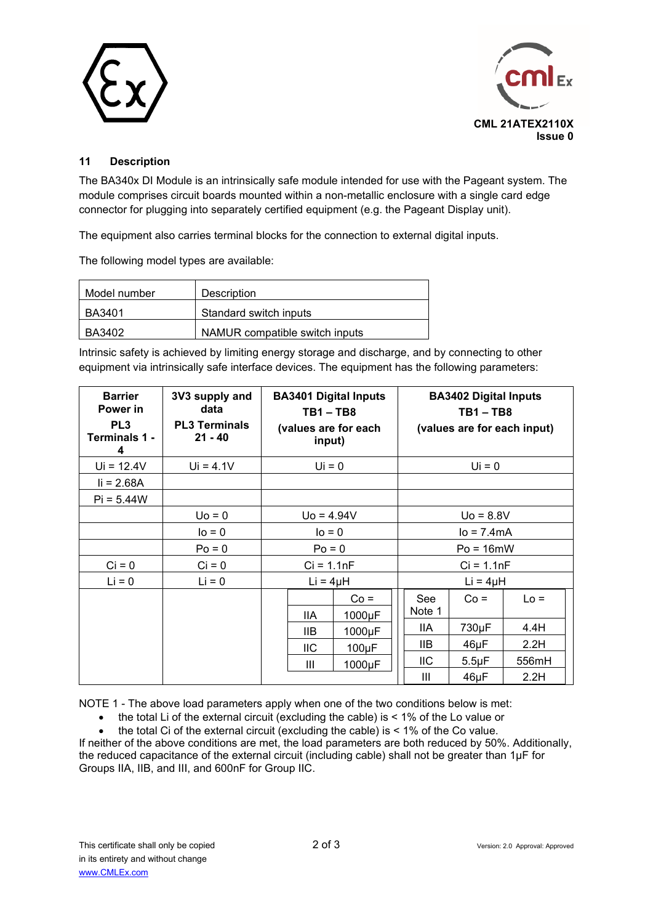



### **11 Description**

The BA340x DI Module is an intrinsically safe module intended for use with the Pageant system. The module comprises circuit boards mounted within a non-metallic enclosure with a single card edge connector for plugging into separately certified equipment (e.g. the Pageant Display unit).

The equipment also carries terminal blocks for the connection to external digital inputs.

The following model types are available:

| Model number | <b>Description</b>             |  |
|--------------|--------------------------------|--|
| BA3401       | Standard switch inputs         |  |
| BA3402       | NAMUR compatible switch inputs |  |

Intrinsic safety is achieved by limiting energy storage and discharge, and by connecting to other equipment via intrinsically safe interface devices. The equipment has the following parameters:

| <b>Barrier</b><br>Power in<br>PL <sub>3</sub><br>Terminals 1 -<br>4 | 3V3 supply and<br>data<br><b>PL3 Terminals</b><br>$21 - 40$ | <b>BA3401 Digital Inputs</b><br>$TB1 - TB8$<br>(values are for each<br>input) |            | <b>BA3402 Digital Inputs</b><br>$TB1 - TB8$<br>(values are for each input) |               |            |        |
|---------------------------------------------------------------------|-------------------------------------------------------------|-------------------------------------------------------------------------------|------------|----------------------------------------------------------------------------|---------------|------------|--------|
| $Ui = 12.4V$                                                        | $Ui = 4.1V$                                                 |                                                                               | $Ui = 0$   |                                                                            | $Ui = 0$      |            |        |
| $I = 2.68A$                                                         |                                                             |                                                                               |            |                                                                            |               |            |        |
| $Pi = 5.44W$                                                        |                                                             |                                                                               |            |                                                                            |               |            |        |
|                                                                     | $Uo = 0$                                                    | $U_0 = 4.94V$                                                                 |            | $U_0 = 8.8V$                                                               |               |            |        |
|                                                                     | $I = 0$                                                     | $IO = 0$                                                                      |            | $lo = 7.4mA$                                                               |               |            |        |
|                                                                     | $Po = 0$                                                    | $Po = 0$                                                                      |            | $Po = 16mW$                                                                |               |            |        |
| $Ci = 0$                                                            | $Ci = 0$                                                    | $Ci = 1.1nF$                                                                  |            | $Ci = 1.1nF$                                                               |               |            |        |
| $Li = 0$                                                            | $Li = 0$                                                    | $Li = 4\mu H$                                                                 |            |                                                                            | $Li = 4\mu H$ |            |        |
|                                                                     |                                                             |                                                                               |            | $Co =$                                                                     | <b>See</b>    | $Co =$     | $Lo =$ |
|                                                                     |                                                             |                                                                               | <b>IIA</b> | 1000µF                                                                     | Note 1        |            |        |
|                                                                     |                                                             |                                                                               | IIB.       | 1000µF                                                                     | IIA           | 730µF      | 4.4H   |
|                                                                     |                                                             |                                                                               | <b>IIC</b> | $100\mu F$                                                                 | 11B           | 46µF       | 2.2H   |
|                                                                     |                                                             |                                                                               | Ш          | 1000µF                                                                     | IIС           | $5.5\mu F$ | 556mH  |
|                                                                     |                                                             |                                                                               |            |                                                                            | Ш             | 46µF       | 2.2H   |

NOTE 1 - The above load parameters apply when one of the two conditions below is met:

the total Li of the external circuit (excluding the cable) is < 1% of the Lo value or

the total Ci of the external circuit (excluding the cable) is  $\leq 1\%$  of the Co value.

If neither of the above conditions are met, the load parameters are both reduced by 50%. Additionally, the reduced capacitance of the external circuit (including cable) shall not be greater than 1µF for Groups IIA, IIB, and III, and 600nF for Group IIC.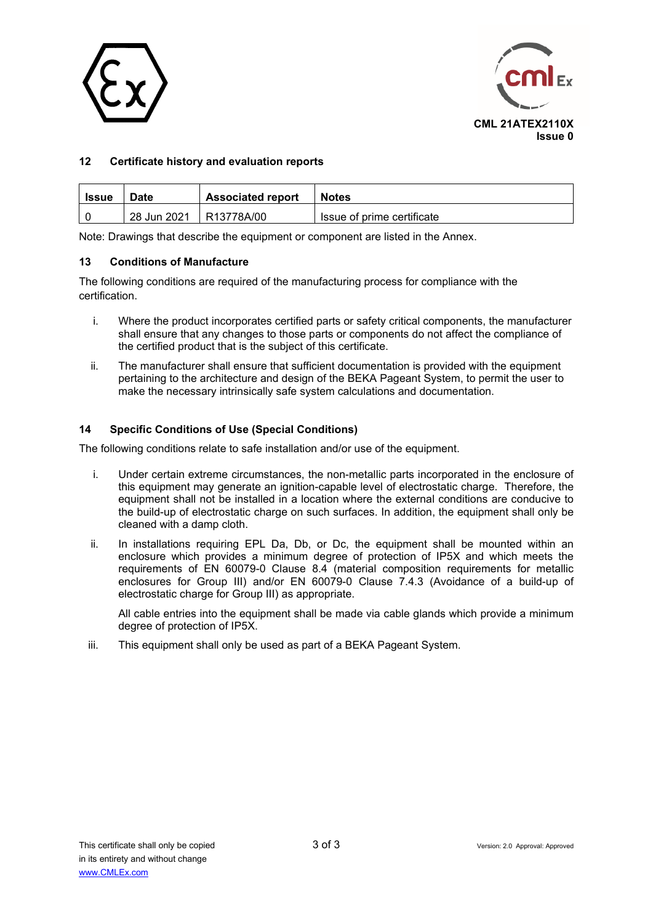



#### **12 Certificate history and evaluation reports**

| <b>Issue</b> | <b>Associated report</b><br><b>Date</b> |            | <b>Notes</b>               |
|--------------|-----------------------------------------|------------|----------------------------|
|              | 28 Jun 2021                             | R13778A/00 | Issue of prime certificate |

Note: Drawings that describe the equipment or component are listed in the Annex.

#### **13 Conditions of Manufacture**

The following conditions are required of the manufacturing process for compliance with the certification.

- i. Where the product incorporates certified parts or safety critical components, the manufacturer shall ensure that any changes to those parts or components do not affect the compliance of the certified product that is the subject of this certificate.
- ii. The manufacturer shall ensure that sufficient documentation is provided with the equipment pertaining to the architecture and design of the BEKA Pageant System, to permit the user to make the necessary intrinsically safe system calculations and documentation.

#### **14 Specific Conditions of Use (Special Conditions)**

The following conditions relate to safe installation and/or use of the equipment.

- i. Under certain extreme circumstances, the non-metallic parts incorporated in the enclosure of this equipment may generate an ignition-capable level of electrostatic charge. Therefore, the equipment shall not be installed in a location where the external conditions are conducive to the build-up of electrostatic charge on such surfaces. In addition, the equipment shall only be cleaned with a damp cloth.
- ii. In installations requiring EPL Da, Db, or Dc, the equipment shall be mounted within an enclosure which provides a minimum degree of protection of IP5X and which meets the requirements of EN 60079-0 Clause 8.4 (material composition requirements for metallic enclosures for Group III) and/or EN 60079-0 Clause 7.4.3 (Avoidance of a build-up of electrostatic charge for Group III) as appropriate.

All cable entries into the equipment shall be made via cable glands which provide a minimum degree of protection of IP5X.

iii. This equipment shall only be used as part of a BEKA Pageant System.